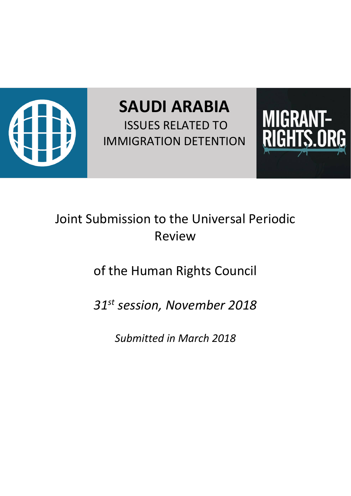

**SAUDI ARABIA** ISSUES RELATED TO IMMIGRATION DETENTION



## Joint Submission to the Universal Periodic Review

# of the Human Rights Council

## *31st session, November 2018*

*Submitted in March 2018*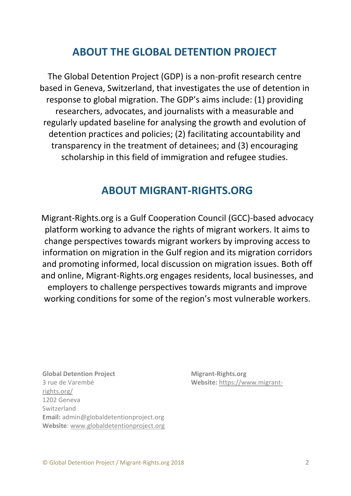## **ABOUT THE GLOBAL DETENTION PROJECT**

The Global Detention Project (GDP) is a non-profit research centre based in Geneva, Switzerland, that investigates the use of detention in response to global migration. The GDP's aims include: (1) providing researchers, advocates, and journalists with a measurable and regularly updated baseline for analysing the growth and evolution of detention practices and policies; (2) facilitating accountability and transparency in the treatment of detainees; and (3) encouraging scholarship in this field of immigration and refugee studies.

### **ABOUT MIGRANT-RIGHTS.ORG**

Migrant-Rights.org is a Gulf Cooperation Council (GCC)-based advocacy platform working to advance the rights of migrant workers. It aims to change perspectives towards migrant workers by improving access to information on migration in the Gulf region and its migration corridors and promoting informed, local discussion on migration issues. Both off and online, Migrant-Rights.org engages residents, local businesses, and employers to challenge perspectives towards migrants and improve working conditions for some of the region's most vulnerable workers.

**Global Detention Project Migrant-Rights.org** 3 rue de Varembé **Website:** [https://www.migrant](https://www.migrant-rights.org/)[rights.org/](https://www.migrant-rights.org/) 1202 Geneva Switzerland **Email:** admin@globaldetentionproject.org **Website**: [www.globaldetentionproject.org](http://www.globaldetentionproject.org/)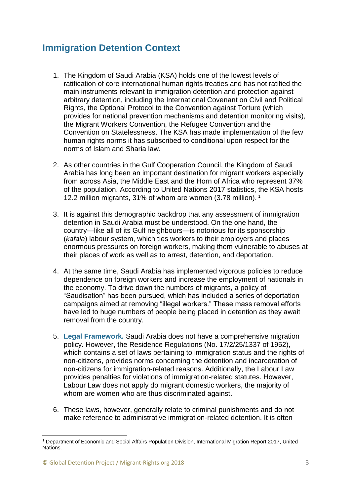### **Immigration Detention Context**

- 1. The Kingdom of Saudi Arabia (KSA) holds one of the lowest levels of ratification of core international human rights treaties and has not ratified the main instruments relevant to immigration detention and protection against arbitrary detention, including the International Covenant on Civil and Political Rights, the Optional Protocol to the Convention against Torture (which provides for national prevention mechanisms and detention monitoring visits), the Migrant Workers Convention, the Refugee Convention and the Convention on Statelessness. The KSA has made implementation of the few human rights norms it has subscribed to conditional upon respect for the norms of Islam and Sharia law.
- 2. As other countries in the Gulf Cooperation Council, the Kingdom of Saudi Arabia has long been an important destination for migrant workers especially from across Asia, the Middle East and the Horn of Africa who represent 37% of the population. According to United Nations 2017 statistics, the KSA hosts 12.2 million migrants, 31% of whom are women (3.78 million). <sup>1</sup>
- 3. It is against this demographic backdrop that any assessment of immigration detention in Saudi Arabia must be understood. On the one hand, the country—like all of its Gulf neighbours—is notorious for its sponsorship (*kafala*) labour system, which ties workers to their employers and places enormous pressures on foreign workers, making them vulnerable to abuses at their places of work as well as to arrest, detention, and deportation.
- 4. At the same time, Saudi Arabia has implemented vigorous policies to reduce dependence on foreign workers and increase the employment of nationals in the economy. To drive down the numbers of migrants, a policy of "Saudisation" has been pursued, which has included a series of deportation campaigns aimed at removing "illegal workers." These mass removal efforts have led to huge numbers of people being placed in detention as they await removal from the country.
- 5. **Legal Framework.** Saudi Arabia does not have a comprehensive migration policy. However, the Residence Regulations (No. 17/2/25/1337 of 1952), which contains a set of laws pertaining to immigration status and the rights of non-citizens, provides norms concerning the detention and incarceration of non-citizens for immigration-related reasons. Additionally, the Labour Law provides penalties for violations of immigration-related statutes. However, Labour Law does not apply do migrant domestic workers, the majority of whom are women who are thus discriminated against.
- 6. These laws, however, generally relate to criminal punishments and do not make reference to administrative immigration-related detention. It is often

<sup>1</sup> Department of Economic and Social Affairs Population Division, International Migration Report 2017, United Nations.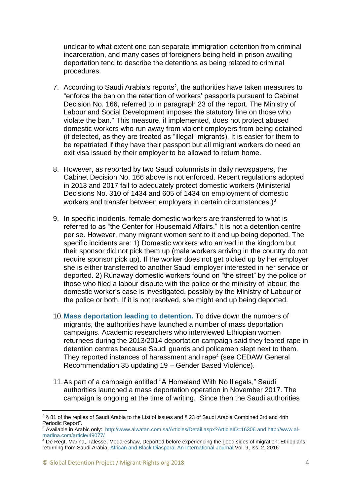unclear to what extent one can separate immigration detention from criminal incarceration, and many cases of foreigners being held in prison awaiting deportation tend to describe the detentions as being related to criminal procedures.

- 7. According to Saudi Arabia's reports<sup>2</sup>, the authorities have taken measures to "enforce the ban on the retention of workers' passports pursuant to Cabinet Decision No. 166, referred to in paragraph 23 of the report. The Ministry of Labour and Social Development imposes the statutory fine on those who violate the ban." This measure, if implemented, does not protect abused domestic workers who run away from violent employers from being detained (if detected, as they are treated as "illegal" migrants). It is easier for them to be repatriated if they have their passport but all migrant workers do need an exit visa issued by their employer to be allowed to return home.
- 8. However, as reported by two Saudi columnists in daily newspapers, the Cabinet Decision No. 166 above is not enforced. Recent regulations adopted in 2013 and 2017 fail to adequately protect domestic workers (Ministerial Decisions No. 310 of 1434 and 605 of 1434 on employment of domestic workers and transfer between employers in certain circumstances.)<sup>3</sup>
- 9. In specific incidents, female domestic workers are transferred to what is referred to as "the Center for Housemaid Affairs." It is not a detention centre per se. However, many migrant women sent to it end up being deported. The specific incidents are: 1) Domestic workers who arrived in the kingdom but their sponsor did not pick them up (male workers arriving in the country do not require sponsor pick up). If the worker does not get picked up by her employer she is either transferred to another Saudi employer interested in her service or deported. 2) Runaway domestic workers found on "the street" by the police or those who filed a labour dispute with the police or the ministry of labour: the domestic worker's case is investigated, possibly by the Ministry of Labour or the police or both. If it is not resolved, she might end up being deported.
- 10.**Mass deportation leading to detention.** To drive down the numbers of migrants, the authorities have launched a number of mass deportation campaigns. Academic researchers who interviewed Ethiopian women returnees during the 2013/2014 deportation campaign said they feared rape in detention centres because Saudi guards and policemen slept next to them. They reported instances of harassment and rape<sup>4</sup> (see CEDAW General Recommendation 35 updating 19 – Gender Based Violence).
- 11.As part of a campaign entitled "A Homeland With No Illegals," Saudi authorities launched a mass deportation operation in November 2017. The campaign is ongoing at the time of writing. Since then the Saudi authorities

<sup>2</sup> § 81 of the replies of Saudi Arabia to the List of issues and § 23 of Saudi Arabia Combined 3rd and 4rth Periodic Report".

<sup>3</sup> Available in Arabic only: <http://www.alwatan.com.sa/Articles/Detail.aspx?ArticleID=16306> an[d http://www.al](http://www.al-madina.com/article/49077/)[madina.com/article/49077/](http://www.al-madina.com/article/49077/)

<sup>4</sup> De Regt, Marina, Tafesse, Medareshaw, Deported before experiencing the good sides of migration: Ethiopians returning from Saudi Arabia, [African and Black Diaspora: An International Journal](http://www.tandfonline.com/toc/rabd20/9/2) Vol. 9, Iss. 2, 2016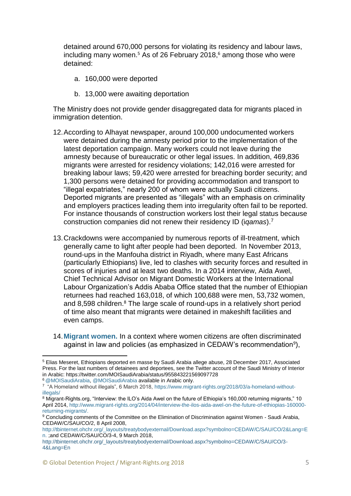detained around 670,000 persons for violating its residency and labour laws, including many women. <sup>5</sup> As of 26 February 2018, <sup>6</sup> among those who were detained:

- a. 160,000 were deported
- b. 13,000 were awaiting deportation

The Ministry does not provide gender disaggregated data for migrants placed in immigration detention.

- 12.According to Alhayat newspaper, around 100,000 undocumented workers were detained during the amnesty period prior to the implementation of the latest deportation campaign. Many workers could not leave during the amnesty because of bureaucratic or other legal issues. In addition, 469,836 migrants were arrested for residency violations; 142,016 were arrested for breaking labour laws; 59,420 were arrested for breaching border security; and 1,300 persons were detained for providing accommodation and transport to "illegal expatriates," nearly 200 of whom were actually Saudi citizens. Deported migrants are presented as "illegals" with an emphasis on criminality and employers practices leading them into irregularity often fail to be reported. For instance thousands of construction workers lost their legal status because construction companies did not renew their residency ID (i*qamas*).<sup>7</sup>
- 13.Crackdowns were accompanied by numerous reports of ill-treatment, which generally came to light after people had been deported. In November 2013, round-ups in the Manfouha district in Riyadh, where many East Africans (particularly Ethiopians) live, led to clashes with security forces and resulted in scores of injuries and at least two deaths. In a 2014 interview, Aida Awel, Chief Technical Advisor on Migrant Domestic Workers at the International Labour Organization's Addis Ababa Office stated that the number of Ethiopian returnees had reached 163,018, of which 100,688 were men, 53,732 women, and 8,598 children.<sup>8</sup> The large scale of round-ups in a relatively short period of time also meant that migrants were detained in makeshift facilities and even camps.
- 14.**Migrant women.** In a context where women citizens are often discriminated against in law and policies (as emphasized in CEDAW's recommendation $^9$ ),

<sup>6</sup> [@MOISaudiArabia,](https://twitter.com/MOISaudiArabia/status/952971935293599744) [@MOISaudiArabia](https://twitter.com/MOISaudiArabia/status/947487463605440512) available in Arabic only.

 $\overline{a}$ <sup>5</sup> Elias Meseret, Ethiopians deported en masse by Saudi Arabia allege abuse, 28 December 2017, Associated Press. For the last numbers of detainees and deportees, see the Twitter account of the Saudi Ministry of Interior in Arabic: https://twitter.com/MOISaudiArabia/status/955843221569097728

<sup>&</sup>lt;sup>7</sup> "A Homeland without illegals", 6 March 2018, [https://www.migrant-rights.org/2018/03/a-homeland-without](https://www.migrant-rights.org/2018/03/a-homeland-without-illegals/)[illegals/](https://www.migrant-rights.org/2018/03/a-homeland-without-illegals/)

<sup>8</sup> Migrant-Rights.org, "Interview: the ILO's Aida Awel on the future of Ethiopia's 160,000 returning migrants," 10 April 2014, [http://www.migrant-rights.org/2014/04/interview-the-ilos-aida-awel-on-the-future-of-ethiopias-160000](http://www.migrant-rights.org/2014/04/interview-the-ilos-aida-awel-on-the-future-of-ethiopias-160000-returning-migrants/) [returning-migrants/.](http://www.migrant-rights.org/2014/04/interview-the-ilos-aida-awel-on-the-future-of-ethiopias-160000-returning-migrants/)

<sup>9</sup> Concluding comments of the Committee on the Elimination of Discrimination against Women - Saudi Arabia, CEDAW/C/SAU/CO/2, 8 April 2008,

[http://tbinternet.ohchr.org/\\_layouts/treatybodyexternal/Download.aspx?symbolno=CEDAW/C/SAU/CO/2&Lang=E](http://tbinternet.ohchr.org/_layouts/treatybodyexternal/Download.aspx?symbolno=CEDAW/C/SAU/CO/2&Lang=En) [n.](http://tbinternet.ohchr.org/_layouts/treatybodyexternal/Download.aspx?symbolno=CEDAW/C/SAU/CO/2&Lang=En) ;and CEDAW/C/SAU/CO/3-4, 9 March 2018,

[http://tbinternet.ohchr.org/\\_layouts/treatybodyexternal/Download.aspx?symbolno=CEDAW/C/SAU/CO/3-](http://tbinternet.ohchr.org/_layouts/treatybodyexternal/Download.aspx?symbolno=CEDAW/C/SAU/CO/3-4&Lang=En) [4&Lang=En](http://tbinternet.ohchr.org/_layouts/treatybodyexternal/Download.aspx?symbolno=CEDAW/C/SAU/CO/3-4&Lang=En)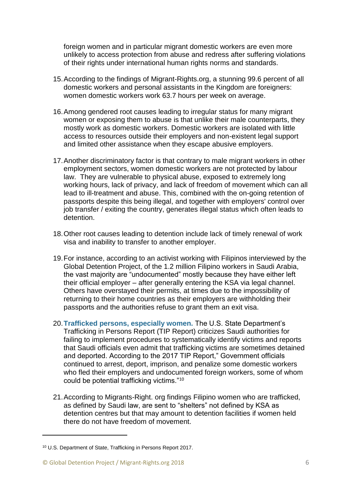foreign women and in particular migrant domestic workers are even more unlikely to access protection from abuse and redress after suffering violations of their rights under international human rights norms and standards.

- 15.According to the findings of Migrant-Rights.org, a stunning 99.6 percent of all domestic workers and personal assistants in the Kingdom are foreigners: women domestic workers work 63.7 hours per week on average.
- 16.Among gendered root causes leading to irregular status for many migrant women or exposing them to abuse is that unlike their male counterparts, they mostly work as domestic workers. Domestic workers are isolated with little access to resources outside their employers and non-existent legal support and limited other assistance when they escape abusive employers.
- 17.Another discriminatory factor is that contrary to male migrant workers in other employment sectors, women domestic workers are not protected by labour law. They are vulnerable to physical abuse, exposed to extremely long working hours, lack of privacy, and lack of freedom of movement which can all lead to ill-treatment and abuse. This, combined with the on-going retention of passports despite this being illegal, and together with employers' control over job transfer / exiting the country, generates illegal status which often leads to detention.
- 18.Other root causes leading to detention include lack of timely renewal of work visa and inability to transfer to another employer.
- 19.For instance, according to an activist working with Filipinos interviewed by the Global Detention Project, of the 1.2 million Filipino workers in Saudi Arabia, the vast majority are "undocumented" mostly because they have either left their official employer – after generally entering the KSA via legal channel. Others have overstayed their permits, at times due to the impossibility of returning to their home countries as their employers are withholding their passports and the authorities refuse to grant them an exit visa.
- 20.**Trafficked persons, especially women.** The U.S. State Department's Trafficking in Persons Report (TIP Report) criticizes Saudi authorities for failing to implement procedures to systematically identify victims and reports that Saudi officials even admit that trafficking victims are sometimes detained and deported. According to the 2017 TIP Report," Government officials continued to arrest, deport, imprison, and penalize some domestic workers who fled their employers and undocumented foreign workers, some of whom could be potential trafficking victims."<sup>10</sup>
- 21.According to Migrants-Right. org findings Filipino women who are trafficked, as defined by Saudi law, are sent to "shelters" not defined by KSA as detention centres but that may amount to detention facilities if women held there do not have freedom of movement.

<sup>10</sup> U.S. Department of State, Trafficking in Persons Report 2017.

<sup>©</sup> Global Detention Project / Migrant-Rights.org 2018 6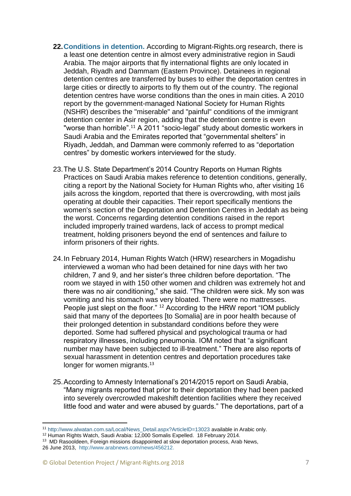- **22.Conditions in detention.** According to Migrant-Rights.org research, there is a least one detention centre in almost every administrative region in Saudi Arabia. The major airports that fly international flights are only located in Jeddah, Riyadh and Dammam (Eastern Province). Detainees in regional detention centres are transferred by buses to either the deportation centres in large cities or directly to airports to fly them out of the country. The regional detention centres have worse conditions than the ones in main cities. A 2010 report by the government-managed National Society for Human Rights (NSHR) describes the "miserable" and "painful" conditions of the immigrant detention center in Asir region, adding that the detention centre is even "worse than horrible".<sup>11</sup> A 2011 "socio-legal" study about domestic workers in Saudi Arabia and the Emirates reported that "governmental shelters" in Riyadh, Jeddah, and Damman were commonly referred to as "deportation centres" by domestic workers interviewed for the study.
- 23.The U.S. State Department's 2014 Country Reports on Human Rights Practices on Saudi Arabia makes reference to detention conditions, generally, citing a report by the National Society for Human Rights who, after visiting 16 jails across the kingdom, reported that there is overcrowding, with most jails operating at double their capacities. Their report specifically mentions the women's section of the Deportation and Detention Centres in Jeddah as being the worst. Concerns regarding detention conditions raised in the report included improperly trained wardens, lack of access to prompt medical treatment, holding prisoners beyond the end of sentences and failure to inform prisoners of their rights.
- 24.In February 2014, Human Rights Watch (HRW) researchers in Mogadishu interviewed a woman who had been detained for nine days with her two children, 7 and 9, and her sister's three children before deportation. "The room we stayed in with 150 other women and children was extremely hot and there was no air conditioning," she said. "The children were sick. My son was vomiting and his stomach was very bloated. There were no mattresses. People just slept on the floor." <sup>12</sup> According to the HRW report "IOM publicly said that many of the deportees [to Somalia] are in poor health because of their prolonged detention in substandard conditions before they were deported. Some had suffered physical and psychological trauma or had respiratory illnesses, including pneumonia. IOM noted that "a significant number may have been subjected to ill-treatment." There are also reports of sexual harassment in detention centres and deportation procedures take longer for women migrants.<sup>13</sup>
- 25.According to Amnesty International's 2014/2015 report on Saudi Arabia, "Many migrants reported that prior to their deportation they had been packed into severely overcrowded makeshift detention facilities where they received little food and water and were abused by guards." The deportations, part of a

 $\overline{a}$ <sup>11</sup> [http://www.alwatan.com.sa/Local/News\\_Detail.aspx?ArticleID=13023](http://www.alwatan.com.sa/Local/News_Detail.aspx?ArticleID=13023) available in Arabic only.

<sup>&</sup>lt;sup>12</sup> Human Rights Watch, Saudi Arabia: 12,000 Somalis Expelled. 18 February 2014.

<sup>&</sup>lt;sup>13</sup> MD Rasooldeen, Foreign missions disappointed at slow deportation process, Arab News, 26 June 2013, [http://www.arabnews.com/news/456212.](http://www.arabnews.com/news/456212)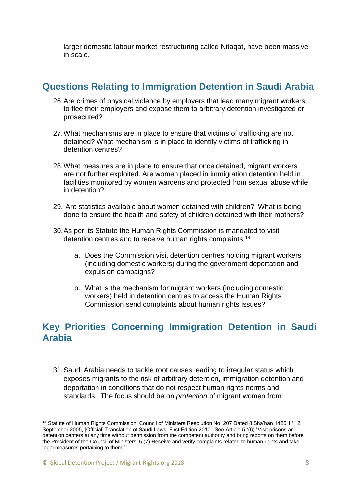larger domestic labour market restructuring called Nitaqat, have been massive in scale.

### **Questions Relating to Immigration Detention in Saudi Arabia**

- 26.Are crimes of physical violence by employers that lead many migrant workers to flee their employers and expose them to arbitrary detention investigated or prosecuted?
- 27.What mechanisms are in place to ensure that victims of trafficking are not detained? What mechanism is in place to identify victims of trafficking in detention centres?
- 28.What measures are in place to ensure that once detained, migrant workers are not further exploited. Are women placed in immigration detention held in facilities monitored by women wardens and protected from sexual abuse while in detention?
- 29. Are statistics available about women detained with children? What is being done to ensure the health and safety of children detained with their mothers?
- 30.As per its Statute the Human Rights Commission is mandated to visit detention centres and to receive human rights complaints:<sup>14</sup>
	- a. Does the Commission visit detention centres holding migrant workers (including domestic workers) during the government deportation and expulsion campaigns?
	- b. What is the mechanism for migrant workers (including domestic workers) held in detention centres to access the Human Rights Commission send complaints about human rights issues?

### **Key Priorities Concerning Immigration Detention in Saudi Arabia**

31.Saudi Arabia needs to tackle root causes leading to irregular status which exposes migrants to the risk of arbitrary detention, immigration detention and deportation in conditions that do not respect human rights norms and standards. The focus should be on *protection* of migrant women from

<sup>14</sup> Statute of Human Rights Commission, Council of Ministers Resolution No. 207 Dated 8 Sha'ban 1426H / 12 September 2005, [Official] Translation of Saudi Laws, First Edition 2010. See Article 5 "(6) "Visit prisons and detention centers at any time without permission from the competent authority and bring reports on them before the President of the Council of Ministers. 5 (7) Receive and verify complaints related to human rights and take legal measures pertaining to them."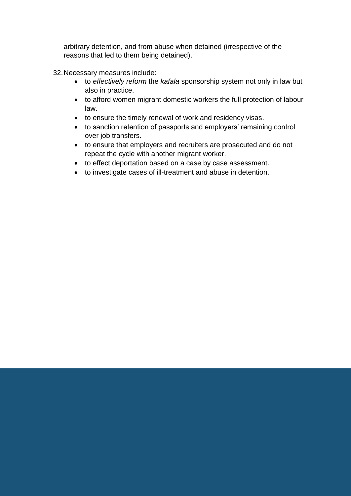arbitrary detention, and from abuse when detained (irrespective of the reasons that led to them being detained).

32.Necessary measures include:

- to *effectively reform* the *kafala* sponsorship system not only in law but also in practice.
- to afford women migrant domestic workers the full protection of labour law.
- to ensure the timely renewal of work and residency visas.
- to sanction retention of passports and employers' remaining control over job transfers.
- to ensure that employers and recruiters are prosecuted and do not repeat the cycle with another migrant worker.
- to effect deportation based on a case by case assessment.
- to investigate cases of ill-treatment and abuse in detention.